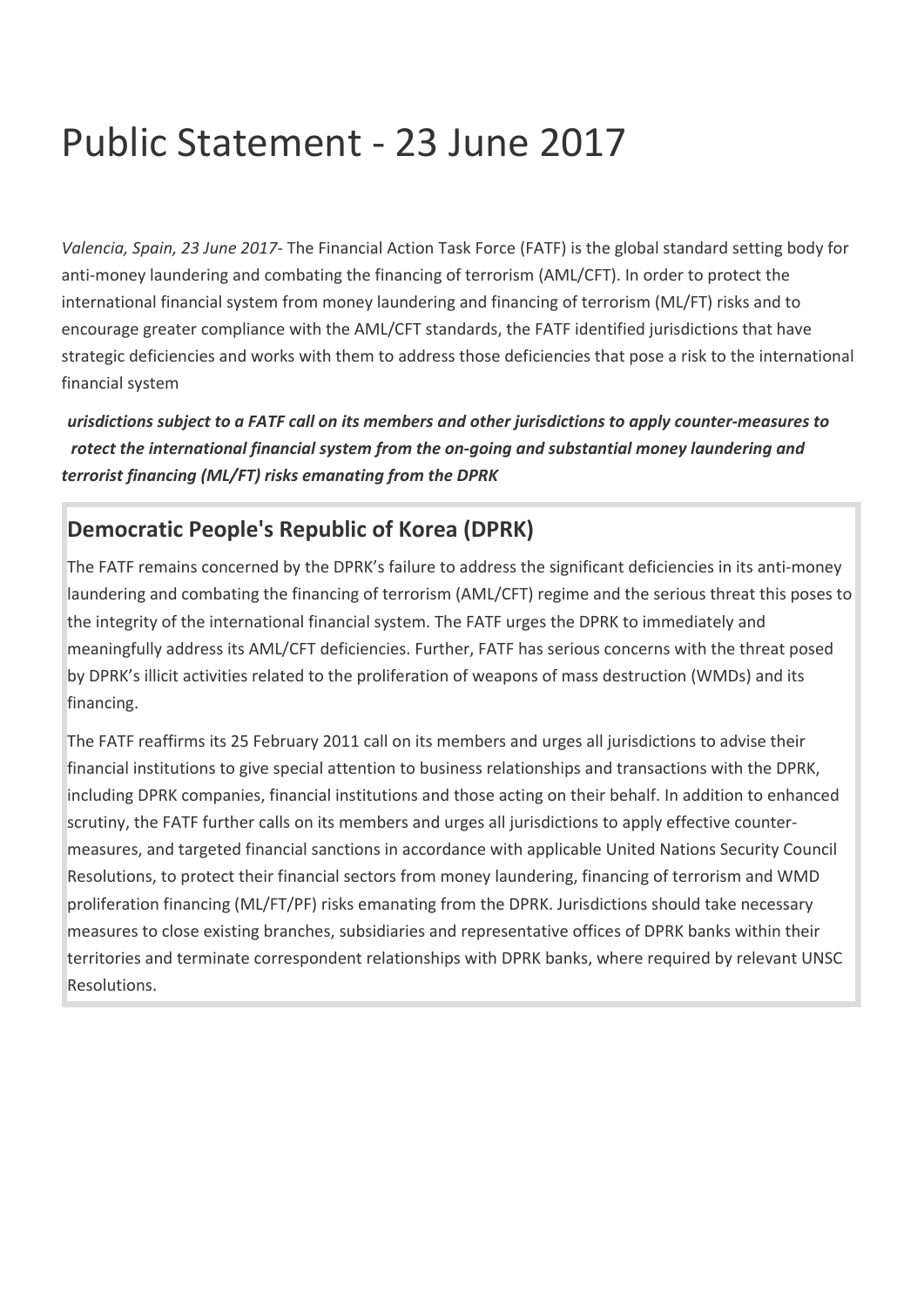## Public Statement - 23 June 2017

*Valencia, Spain, 23 June 2017-* The Financial Action Task Force (FATF) is the global standard setting body for anti-money laundering and combating the financing of terrorism (AML/CFT). In order to protect the international financial system from money laundering and financing of terrorism (ML/FT) risks and to encourage greater compliance with the AML/CFT standards, the FATF identified jurisdictions that have strategic deficiencies and works with them to address those deficiencies that pose a risk to the international financial system.

*Jurisdictions subject to a FATF call on its members and other jurisdictions to apply counter-measures to protect the international financial system from the on-going and substantial money laundering and terrorist financing (ML/FT) risks emanating from the DPRK.*

## **Democratic People's Republic of Korea (DPRK)**

The FATF remains concerned by the DPRK's failure to address the significant deficiencies in its anti-money laundering and combating the financing of terrorism (AML/CFT) regime and the serious threat this poses to the integrity of the international financial system. The FATF urges the DPRK to immediately and meaningfully address its AML/CFT deficiencies. Further, FATF has serious concerns with the threat posed by DPRK's illicit activities related to the proliferation of weapons of mass destruction (WMDs) and its financing.

The FATF reaffirms its 25 February 2011 call on its members and urges all jurisdictions to advise their financial institutions to give special attention to business relationships and transactions with the DPRK, including DPRK companies, financial institutions and those acting on their behalf. In addition to enhanced scrutiny, the FATF further calls on its members and urges all jurisdictions to apply effective countermeasures, and targeted financial sanctions in accordance with applicable United Nations Security Council Resolutions, to protect their financial sectors from money laundering, financing of terrorism and WMD proliferation financing (ML/FT/PF) risks emanating from the DPRK. Jurisdictions should take necessary measures to close existing branches, subsidiaries and representative offices of DPRK banks within their territories and terminate correspondent relationships with DPRK banks, where required by relevant UNSC Resolutions.